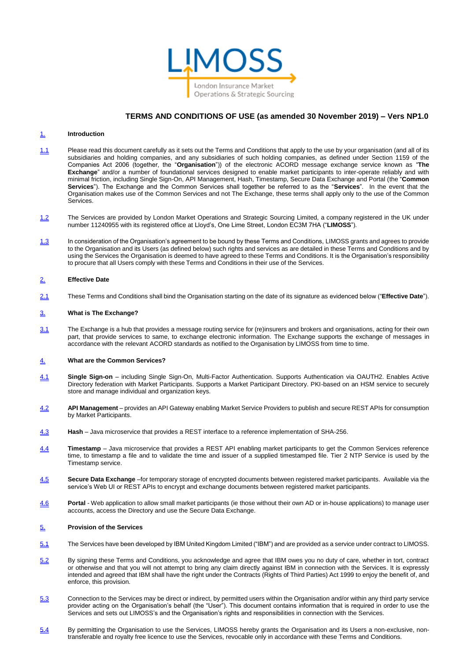

# **TERMS AND CONDITIONS OF USE (as amended 30 November 2019) – Vers NP1.0**

#### 1. **Introduction**

- 1.1 Please read this document carefully as it sets out the Terms and Conditions that apply to the use by your organisation (and all of its subsidiaries and holding companies, and any subsidiaries of such holding companies, as defined under Section 1159 of the Companies Act 2006 (together, the "**Organisation**")) of the electronic ACORD message exchange service known as "**The Exchange**" and/or a number of foundational services designed to enable market participants to inter-operate reliably and with minimal friction, including Single Sign-On, API Management, Hash, Timestamp, Secure Data Exchange and Portal (the "**Common Services**"). The Exchange and the Common Services shall together be referred to as the "**Services**". In the event that the Organisation makes use of the Common Services and not The Exchange, these terms shall apply only to the use of the Common Services.
- 1.2 The Services are provided by London Market Operations and Strategic Sourcing Limited, a company registered in the UK under number 11240955 with its registered office at Lloyd's, One Lime Street, London EC3M 7HA ("**LIMOSS**").
- 1.3 In consideration of the Organisation's agreement to be bound by these Terms and Conditions, LIMOSS grants and agrees to provide to the Organisation and its Users (as defined below) such rights and services as are detailed in these Terms and Conditions and by using the Services the Organisation is deemed to have agreed to these Terms and Conditions. It is the Organisation's responsibility to procure that all Users comply with these Terms and Conditions in their use of the Services.

#### 2. **Effective Date**

2.1 These Terms and Conditions shall bind the Organisation starting on the date of its signature as evidenced below ("**Effective Date**").

## 3. **What is The Exchange?**

3.1 The Exchange is a hub that provides a message routing service for (re)insurers and brokers and organisations, acting for their own part, that provide services to same, to exchange electronic information. The Exchange supports the exchange of messages in accordance with the relevant ACORD standards as notified to the Organisation by LIMOSS from time to time.

## 4. **What are the Common Services?**

- 4.1 **Single Sign-on** including Single Sign-On, Multi-Factor Authentication. Supports Authentication via OAUTH2. Enables Active Directory federation with Market Participants. Supports a Market Participant Directory. PKI-based on an HSM service to securely store and manage individual and organization keys.
- 4.2 **API Management** provides an API Gateway enabling Market Service Providers to publish and secure REST APIs for consumption by Market Participants.
- 4.3 **Hash** Java microservice that provides a REST interface to a reference implementation of SHA-256.
- 4.4 **Timestamp** Java microservice that provides a REST API enabling market participants to get the Common Services reference time, to timestamp a file and to validate the time and issuer of a supplied timestamped file. Tier 2 NTP Service is used by the Timestamp service.
- 4.5 **Secure Data Exchange** –for temporary storage of encrypted documents between registered market participants. Available via the service's Web UI or REST APIs to encrypt and exchange documents between registered market participants.
- 4.6 **Portal** Web application to allow small market participants (ie those without their own AD or in-house applications) to manage user accounts, access the Directory and use the Secure Data Exchange.

#### 5. **Provision of the Services**

- 5.1 The Services have been developed by IBM United Kingdom Limited ("IBM") and are provided as a service under contract to LIMOSS.
- 5.2 By signing these Terms and Conditions, you acknowledge and agree that IBM owes you no duty of care, whether in tort, contract or otherwise and that you will not attempt to bring any claim directly against IBM in connection with the Services. It is expressly intended and agreed that IBM shall have the right under the Contracts (Rights of Third Parties) Act 1999 to enjoy the benefit of, and enforce, this provision.
- 5.3 Connection to the Services may be direct or indirect, by permitted users within the Organisation and/or within any third party service provider acting on the Organisation's behalf (the "User"). This document contains information that is required in order to use the Services and sets out LIMOSS's and the Organisation's rights and responsibilities in connection with the Services.
- 5.4 By permitting the Organisation to use the Services, LIMOSS hereby grants the Organisation and its Users a non-exclusive, nontransferable and royalty free licence to use the Services, revocable only in accordance with these Terms and Conditions.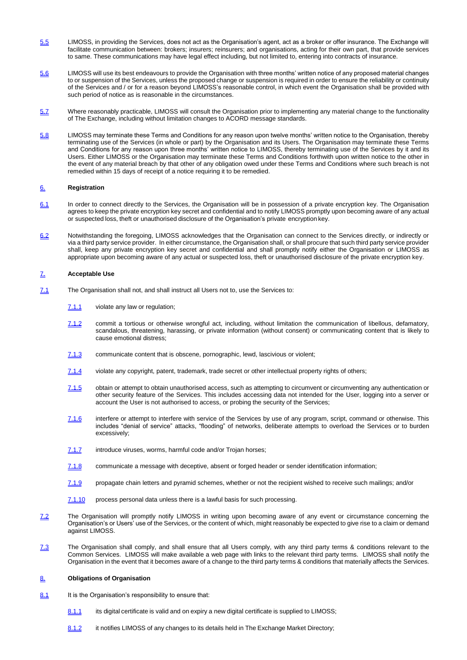- 5.5 LIMOSS, in providing the Services, does not act as the Organisation's agent, act as a broker or offer insurance. The Exchange will facilitate communication between: brokers; insurers; reinsurers; and organisations, acting for their own part, that provide services to same. These communications may have legal effect including, but not limited to, entering into contracts of insurance.
- 5.6 LIMOSS will use its best endeavours to provide the Organisation with three months' written notice of any proposed material changes to or suspension of the Services, unless the proposed change or suspension is required in order to ensure the reliability or continuity of the Services and / or for a reason beyond LIMOSS's reasonable control, in which event the Organisation shall be provided with such period of notice as is reasonable in the circumstances.
- 5.7 Where reasonably practicable, LIMOSS will consult the Organisation prior to implementing any material change to the functionality of The Exchange, including without limitation changes to ACORD message standards.
- 5.8 LIMOSS may terminate these Terms and Conditions for any reason upon twelve months' written notice to the Organisation, thereby terminating use of the Services (in whole or part) by the Organisation and its Users. The Organisation may terminate these Terms and Conditions for any reason upon three months' written notice to LIMOSS, thereby terminating use of the Services by it and its Users. Either LIMOSS or the Organisation may terminate these Terms and Conditions forthwith upon written notice to the other in the event of any material breach by that other of any obligation owed under these Terms and Conditions where such breach is not remedied within 15 days of receipt of a notice requiring it to be remedied.

## 6. **Registration**

- 6.1 In order to connect directly to the Services, the Organisation will be in possession of a private encryption key. The Organisation agrees to keep the private encryption key secret and confidential and to notify LIMOSS promptly upon becoming aware of any actual or suspected loss, theft or unauthorised disclosure of the Organisation's private encryption key.
- 6.2 Notwithstanding the foregoing, LIMOSS acknowledges that the Organisation can connect to the Services directly, or indirectly or via a third party service provider. In either circumstance, the Organisation shall, or shall procure that such third party service provider shall, keep any private encryption key secret and confidential and shall promptly notify either the Organisation or LIMOSS as appropriate upon becoming aware of any actual or suspected loss, theft or unauthorised disclosure of the private encryption key.

## 7. **Acceptable Use**

- 7.1 The Organisation shall not, and shall instruct all Users not to, use the Services to:
	- 7.1.1 violate any law or regulation;
	- 7.1.2 commit a tortious or otherwise wrongful act, including, without limitation the communication of libellous, defamatory, scandalous, threatening, harassing, or private information (without consent) or communicating content that is likely to cause emotional distress;
	- 7.1.3 communicate content that is obscene, pornographic, lewd, lascivious or violent;
	- 7.1.4 violate any copyright, patent, trademark, trade secret or other intellectual property rights of others;
	- 7.1.5 obtain or attempt to obtain unauthorised access, such as attempting to circumvent or circumventing any authentication or other security feature of the Services. This includes accessing data not intended for the User, logging into a server or account the User is not authorised to access, or probing the security of the Services;
	- 7.1.6 interfere or attempt to interfere with service of the Services by use of any program, script, command or otherwise. This includes "denial of service" attacks, "flooding" of networks, deliberate attempts to overload the Services or to burden excessively;
	- 7.1.7 introduce viruses, worms, harmful code and/or Trojan horses;
	- 7.1.8 communicate a message with deceptive, absent or forged header or sender identification information;
	- 7.1.9 propagate chain letters and pyramid schemes, whether or not the recipient wished to receive such mailings; and/or
	- 7.1.10 process personal data unless there is a lawful basis for such processing.
- 7.2 The Organisation will promptly notify LIMOSS in writing upon becoming aware of any event or circumstance concerning the Organisation's or Users' use of the Services, or the content of which, might reasonably be expected to give rise to a claim or demand against LIMOSS.
- 7.3 The Organisation shall comply, and shall ensure that all Users comply, with any third party terms & conditions relevant to the Common Services. LIMOSS will make available a web page with links to the relevant third party terms. LIMOSS shall notify the Organisation in the event that it becomes aware of a change to the third party terms & conditions that materially affects the Services.

## 8. **Obligations of Organisation**

- 8.1 It is the Organisation's responsibility to ensure that:
	- 8.1.1 its digital certificate is valid and on expiry a new digital certificate is supplied to LIMOSS;
	- 8.1.2 it notifies LIMOSS of any changes to its details held in The Exchange Market Directory;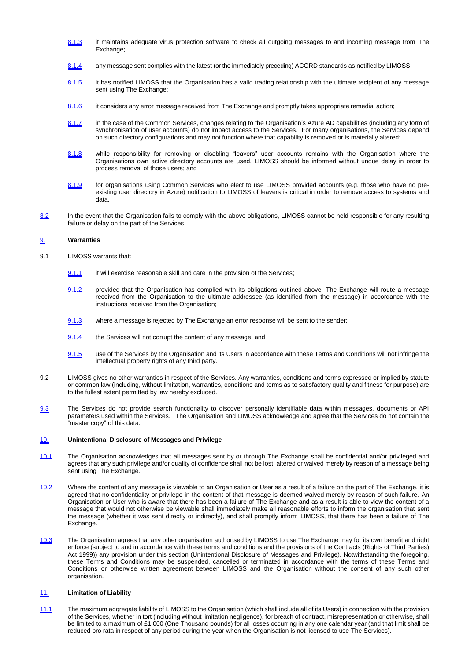- 8.1.3 it maintains adequate virus protection software to check all outgoing messages to and incoming message from The Exchange:
- 8.1.4 any message sent complies with the latest (or the immediately preceding) ACORD standards as notified by LIMOSS;
- 8.1.5 it has notified LIMOSS that the Organisation has a valid trading relationship with the ultimate recipient of any message sent using The Exchange;
- 8.1.6 it considers any error message received from The Exchange and promptly takes appropriate remedial action;
- 8.1.7 in the case of the Common Services, changes relating to the Organisation's Azure AD capabilities (including any form of synchronisation of user accounts) do not impact access to the Services. For many organisations, the Services depend on such directory configurations and may not function where that capability is removed or is materially altered;
- 8.1.8 while responsibility for removing or disabling "leavers" user accounts remains with the Organisation where the Organisations own active directory accounts are used, LIMOSS should be informed without undue delay in order to process removal of those users; and
- 8.1.9 for organisations using Common Services who elect to use LIMOSS provided accounts (e.g. those who have no preexisting user directory in Azure) notification to LIMOSS of leavers is critical in order to remove access to systems and data.
- 8.2 In the event that the Organisation fails to comply with the above obligations, LIMOSS cannot be held responsible for any resulting failure or delay on the part of the Services.

## 9. **Warranties**

- 9.1 LIMOSS warrants that:
	- $9.1.1$  it will exercise reasonable skill and care in the provision of the Services;
	- 9.1.2 provided that the Organisation has complied with its obligations outlined above, The Exchange will route a message received from the Organisation to the ultimate addressee (as identified from the message) in accordance with the instructions received from the Organisation;
	- 9.1.3 where a message is rejected by The Exchange an error response will be sent to the sender;
	- 9.1.4 the Services will not corrupt the content of any message; and
	- 9.1.5 use of the Services by the Organisation and its Users in accordance with these Terms and Conditions will not infringe the intellectual property rights of any third party.
- 9.2 LIMOSS gives no other warranties in respect of the Services. Any warranties, conditions and terms expressed or implied by statute or common law (including, without limitation, warranties, conditions and terms as to satisfactory quality and fitness for purpose) are to the fullest extent permitted by law hereby excluded.
- 9.3 The Services do not provide search functionality to discover personally identifiable data within messages, documents or API parameters used within the Services. The Organisation and LIMOSS acknowledge and agree that the Services do not contain the "master copy" of this data.

## 10. **Unintentional Disclosure of Messages and Privilege**

- 10.1 The Organisation acknowledges that all messages sent by or through The Exchange shall be confidential and/or privileged and agrees that any such privilege and/or quality of confidence shall not be lost, altered or waived merely by reason of a message being sent using The Exchange.
- 10.2 Where the content of any message is viewable to an Organisation or User as a result of a failure on the part of The Exchange, it is agreed that no confidentiality or privilege in the content of that message is deemed waived merely by reason of such failure. An Organisation or User who is aware that there has been a failure of The Exchange and as a result is able to view the content of a message that would not otherwise be viewable shall immediately make all reasonable efforts to inform the organisation that sent the message (whether it was sent directly or indirectly), and shall promptly inform LIMOSS, that there has been a failure of The Exchange.
- 10.3 The Organisation agrees that any other organisation authorised by LIMOSS to use The Exchange may for its own benefit and right enforce (subject to and in accordance with these terms and conditions and the provisions of the Contracts (Rights of Third Parties) Act 1999)) any provision under this section (Unintentional Disclosure of Messages and Privilege). Notwithstanding the foregoing, these Terms and Conditions may be suspended, cancelled or terminated in accordance with the terms of these Terms and Conditions or otherwise written agreement between LIMOSS and the Organisation without the consent of any such other organisation.

#### 11. **Limitation of Liability**

11.1 The maximum aggregate liability of LIMOSS to the Organisation (which shall include all of its Users) in connection with the provision of the Services, whether in tort (including without limitation negligence), for breach of contract, misrepresentation or otherwise, shall be limited to a maximum of £1,000 (One Thousand pounds) for all losses occurring in any one calendar year (and that limit shall be reduced pro rata in respect of any period during the year when the Organisation is not licensed to use The Services).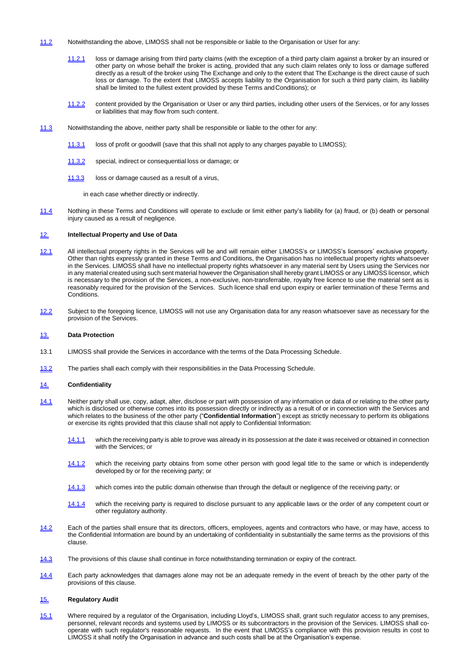- 11.2 Notwithstanding the above, LIMOSS shall not be responsible or liable to the Organisation or User for any:
	- 11.2.1 loss or damage arising from third party claims (with the exception of a third party claim against a broker by an insured or other party on whose behalf the broker is acting, provided that any such claim relates only to loss or damage suffered directly as a result of the broker using The Exchange and only to the extent that The Exchange is the direct cause of such loss or damage. To the extent that LIMOSS accepts liability to the Organisation for such a third party claim, its liability shall be limited to the fullest extent provided by these Terms andConditions); or
	- 11.2.2 content provided by the Organisation or User or any third parties, including other users of the Services, or for any losses or liabilities that may flow from such content.
- 11.3 Notwithstanding the above, neither party shall be responsible or liable to the other for any:
	- 11.3.1 loss of profit or goodwill (save that this shall not apply to any charges payable to LIMOSS);
	- 11.3.2 special, indirect or consequential loss or damage; or
	- 11.3.3 loss or damage caused as a result of a virus,

in each case whether directly or indirectly.

11.4 Nothing in these Terms and Conditions will operate to exclude or limit either party's liability for (a) fraud, or (b) death or personal injury caused as a result of negligence.

#### 12. **Intellectual Property and Use of Data**

- 12.1 All intellectual property rights in the Services will be and will remain either LIMOSS's or LIMOSS's licensors' exclusive property. Other than rights expressly granted in these Terms and Conditions, the Organisation has no intellectual property rights whatsoever in the Services. LIMOSS shall have no intellectual property rights whatsoever in any material sent by Users using the Services nor in any material created using such sent material however the Organisation shall hereby grant LIMOSS or any LIMOSS licensor, which is necessary to the provision of the Services, a non-exclusive, non-transferrable, royalty free licence to use the material sent as is reasonably required for the provision of the Services. Such licence shall end upon expiry or earlier termination of these Terms and Conditions.
- 12.2 Subject to the foregoing licence, LIMOSS will not use any Organisation data for any reason whatsoever save as necessary for the provision of the Services.

#### 13. **Data Protection**

- 13.1 LIMOSS shall provide the Services in accordance with the terms of the Data Processing Schedule.
- 13.2 The parties shall each comply with their responsibilities in the Data Processing Schedule.

#### 14. **Confidentiality**

- 14.1 Neither party shall use, copy, adapt, alter, disclose or part with possession of any information or data of or relating to the other party which is disclosed or otherwise comes into its possession directly or indirectly as a result of or in connection with the Services and which relates to the business of the other party ("**Confidential Information**") except as strictly necessary to perform its obligations or exercise its rights provided that this clause shall not apply to Confidential Information:
	- 14.1.1 which the receiving party is able to prove was already in its possession at the date it was received or obtained in connection with the Services; or
	- 14.1.2 which the receiving party obtains from some other person with good legal title to the same or which is independently developed by or for the receiving party; or
	- 14.1.3 which comes into the public domain otherwise than through the default or negligence of the receiving party; or
	- 14.1.4 which the receiving party is required to disclose pursuant to any applicable laws or the order of any competent court or other regulatory authority.
- 14.2 Each of the parties shall ensure that its directors, officers, employees, agents and contractors who have, or may have, access to the Confidential Information are bound by an undertaking of confidentiality in substantially the same terms as the provisions of this clause.
- 14.3 The provisions of this clause shall continue in force notwithstanding termination or expiry of the contract.
- 14.4 Each party acknowledges that damages alone may not be an adequate remedy in the event of breach by the other party of the provisions of this clause.

#### 15. **Regulatory Audit**

15.1 Where required by a regulator of the Organisation, including Lloyd's, LIMOSS shall, grant such regulator access to any premises, personnel, relevant records and systems used by LIMOSS or its subcontractors in the provision of the Services. LIMOSS shall cooperate with such regulator's reasonable requests. In the event that LIMOSS's compliance with this provision results in cost to LIMOSS it shall notify the Organisation in advance and such costs shall be at the Organisation's expense.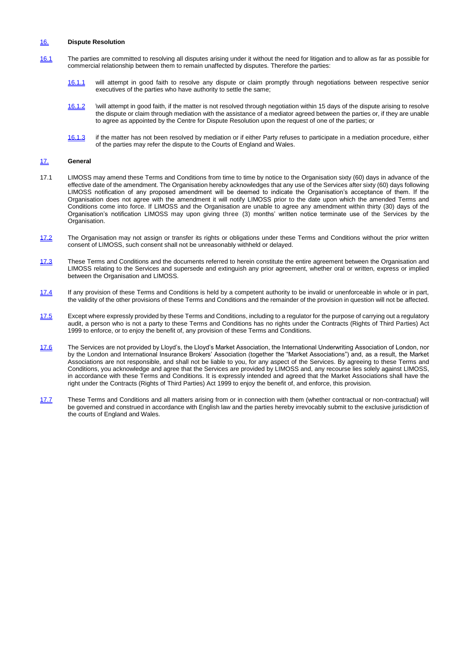#### 16. **Dispute Resolution**

- 16.1 The parties are committed to resolving all disputes arising under it without the need for litigation and to allow as far as possible for commercial relationship between them to remain unaffected by disputes. Therefore the parties:
	- 16.1.1 will attempt in good faith to resolve any dispute or claim promptly through negotiations between respective senior executives of the parties who have authority to settle the same;
	- 16.1.2 \will attempt in good faith, if the matter is not resolved through negotiation within 15 days of the dispute arising to resolve the dispute or claim through mediation with the assistance of a mediator agreed between the parties or, if they are unable to agree as appointed by the Centre for Dispute Resolution upon the request of one of the parties; or
	- 16.1.3 if the matter has not been resolved by mediation or if either Party refuses to participate in a mediation procedure, either of the parties may refer the dispute to the Courts of England and Wales.

## 17. **General**

- 17.1 LIMOSS may amend these Terms and Conditions from time to time by notice to the Organisation sixty (60) days in advance of the effective date of the amendment. The Organisation hereby acknowledges that any use of the Services after sixty (60) days following LIMOSS notification of any proposed amendment will be deemed to indicate the Organisation's acceptance of them. If the Organisation does not agree with the amendment it will notify LIMOSS prior to the date upon which the amended Terms and Conditions come into force. If LIMOSS and the Organisation are unable to agree any amendment within thirty (30) days of the Organisation's notification LIMOSS may upon giving three (3) months' written notice terminate use of the Services by the Organisation.
- 17.2 The Organisation may not assign or transfer its rights or obligations under these Terms and Conditions without the prior written consent of LIMOSS, such consent shall not be unreasonably withheld or delayed.
- 17.3 These Terms and Conditions and the documents referred to herein constitute the entire agreement between the Organisation and LIMOSS relating to the Services and supersede and extinguish any prior agreement, whether oral or written, express or implied between the Organisation and LIMOSS.
- 17.4 If any provision of these Terms and Conditions is held by a competent authority to be invalid or unenforceable in whole or in part, the validity of the other provisions of these Terms and Conditions and the remainder of the provision in question will not be affected.
- 17.5 Except where expressly provided by these Terms and Conditions, including to a regulator for the purpose of carrying out a regulatory audit, a person who is not a party to these Terms and Conditions has no rights under the Contracts (Rights of Third Parties) Act 1999 to enforce, or to enjoy the benefit of, any provision of these Terms and Conditions.
- 17.6 The Services are not provided by Lloyd's, the Lloyd's Market Association, the International Underwriting Association of London, nor by the London and International Insurance Brokers' Association (together the "Market Associations") and, as a result, the Market Associations are not responsible, and shall not be liable to you, for any aspect of the Services. By agreeing to these Terms and Conditions, you acknowledge and agree that the Services are provided by LIMOSS and, any recourse lies solely against LIMOSS, in accordance with these Terms and Conditions. It is expressly intended and agreed that the Market Associations shall have the right under the Contracts (Rights of Third Parties) Act 1999 to enjoy the benefit of, and enforce, this provision.
- 17.7 These Terms and Conditions and all matters arising from or in connection with them (whether contractual or non-contractual) will be governed and construed in accordance with English law and the parties hereby irrevocably submit to the exclusive jurisdiction of the courts of England and Wales.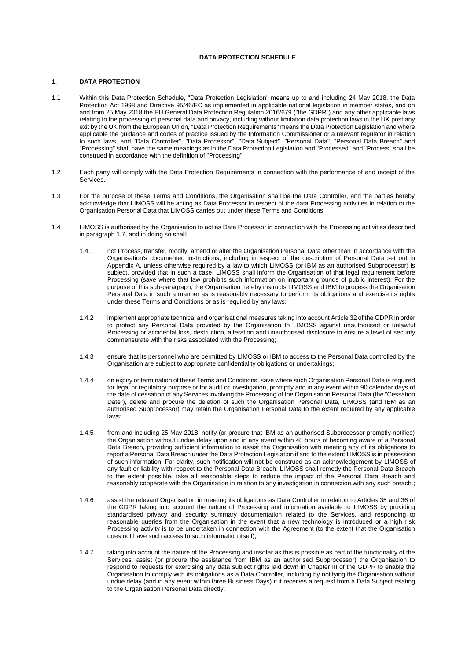## **DATA PROTECTION SCHEDULE**

#### 1. **DATA PROTECTION**

- 1.1 Within this Data Protection Schedule, "Data Protection Legislation" means up to and including 24 May 2018, the Data Protection Act 1998 and Directive 95/46/EC as implemented in applicable national legislation in member states, and on and from 25 May 2018 the EU General Data Protection Regulation 2016/679 ("the GDPR") and any other applicable laws relating to the processing of personal data and privacy, including without limitation data protection laws in the UK post any exit by the UK from the European Union, "Data Protection Requirements" means the Data Protection Legislation and where applicable the guidance and codes of practice issued by the Information Commissioner or a relevant regulator in relation to such laws, and "Data Controller", "Data Processor", "Data Subject", "Personal Data", "Personal Data Breach" and "Processing" shall have the same meanings as in the Data Protection Legislation and "Processed" and "Process" shall be construed in accordance with the definition of "Processing".
- 1.2 Each party will comply with the Data Protection Requirements in connection with the performance of and receipt of the Services.
- 1.3 For the purpose of these Terms and Conditions, the Organisation shall be the Data Controller, and the parties hereby acknowledge that LIMOSS will be acting as Data Processor in respect of the data Processing activities in relation to the Organisation Personal Data that LIMOSS carries out under these Terms and Conditions.
- 1.4 LIMOSS is authorised by the Organisation to act as Data Processor in connection with the Processing activities described in paragraph 1.7, and in doing so shall:
	- 1.4.1 not Process, transfer, modify, amend or alter the Organisation Personal Data other than in accordance with the Organisation's documented instructions, including in respect of the description of Personal Data set out in Appendix A, unless otherwise required by a law to which LIMOSS (or IBM as an authorised Subprocessor) is subject, provided that in such a case, LIMOSS shall inform the Organisation of that legal requirement before Processing (save where that law prohibits such information on important grounds of public interest). For the purpose of this sub-paragraph, the Organisation hereby instructs LIMOSS and IBM to process the Organisation Personal Data in such a manner as is reasonably necessary to perform its obligations and exercise its rights under these Terms and Conditions or as is required by any laws;
	- 1.4.2 implement appropriate technical and organisational measures taking into account Article 32 of the GDPR in order to protect any Personal Data provided by the Organisation to LIMOSS against unauthorised or unlawful Processing or accidental loss, destruction, alteration and unauthorised disclosure to ensure a level of security commensurate with the risks associated with the Processing;
	- 1.4.3 ensure that its personnel who are permitted by LIMOSS or IBM to access to the Personal Data controlled by the Organisation are subject to appropriate confidentiality obligations or undertakings;
	- 1.4.4 on expiry or termination of these Terms and Conditions, save where such Organisation Personal Data is required for legal or regulatory purpose or for audit or investigation, promptly and in any event within 90 calendar days of the date of cessation of any Services involving the Processing of the Organisation Personal Data (the "Cessation Date"), delete and procure the deletion of such the Organisation Personal Data, LIMOSS (and IBM as an authorised Subprocessor) may retain the Organisation Personal Data to the extent required by any applicable laws;
	- 1.4.5 from and including 25 May 2018, notify (or procure that IBM as an authorised Subprocessor promptly notifies) the Organisation without undue delay upon and in any event within 48 hours of becoming aware of a Personal Data Breach, providing sufficient information to assist the Organisation with meeting any of its obligations to report a Personal Data Breach under the Data Protection Legislation if and to the extent LIMOSS is in possession of such information. For clarity, such notification will not be construed as an acknowledgement by LIMOSS of any fault or liability with respect to the Personal Data Breach. LIMOSS shall remedy the Personal Data Breach to the extent possible, take all reasonable steps to reduce the impact of the Personal Data Breach and reasonably cooperate with the Organisation in relation to any investigation in connection with any such breach.;
	- 1.4.6 assist the relevant Organisation in meeting its obligations as Data Controller in relation to Articles 35 and 36 of the GDPR taking into account the nature of Processing and information available to LIMOSS by providing standardised privacy and security summary documentation related to the Services, and responding to reasonable queries from the Organisation in the event that a new technology is introduced or a high risk Processing activity is to be undertaken in connection with the Agreement (to the extent that the Organisation does not have such access to such information itself);
	- 1.4.7 taking into account the nature of the Processing and insofar as this is possible as part of the functionality of the Services, assist (or procure the assistance from IBM as an authorised Subprocessor) the Organisation to respond to requests for exercising any data subject rights laid down in Chapter III of the GDPR to enable the Organisation to comply with its obligations as a Data Controller, including by notifying the Organisation without undue delay (and in any event within three Business Days) if it receives a request from a Data Subject relating to the Organisation Personal Data directly;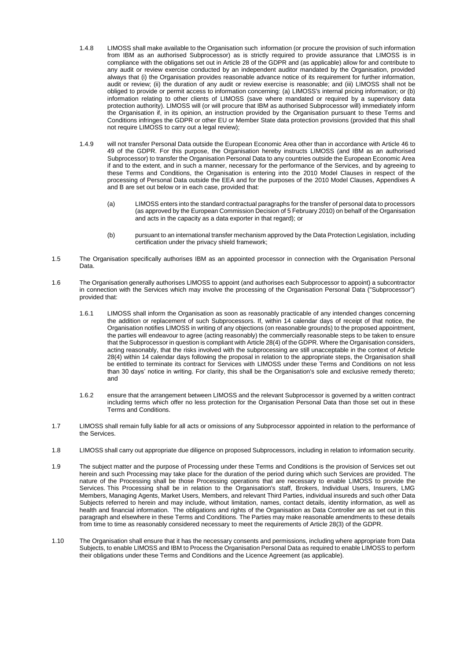- 1.4.8 LIMOSS shall make available to the Organisation such information (or procure the provision of such information from IBM as an authorised Subprocessor) as is strictly required to provide assurance that LIMOSS is in compliance with the obligations set out in Article 28 of the GDPR and (as applicable) allow for and contribute to any audit or review exercise conducted by an independent auditor mandated by the Organisation, provided always that (i) the Organisation provides reasonable advance notice of its requirement for further information, audit or review; (ii) the duration of any audit or review exercise is reasonable; and (iii) LIMOSS shall not be obliged to provide or permit access to information concerning: (a) LIMOSS's internal pricing information; or (b) information relating to other clients of LIMOSS (save where mandated or required by a supervisory data protection authority). LIMOSS will (or will procure that IBM as authorised Subprocessor will) immediately inform the Organisation if, in its opinion, an instruction provided by the Organisation pursuant to these Terms and Conditions infringes the GDPR or other EU or Member State data protection provisions (provided that this shall not require LIMOSS to carry out a legal review);
- 1.4.9 will not transfer Personal Data outside the European Economic Area other than in accordance with Article 46 to 49 of the GDPR. For this purpose, the Organisation hereby instructs LIMOSS (and IBM as an authorised Subprocessor) to transfer the Organisation Personal Data to any countries outside the European Economic Area if and to the extent, and in such a manner, necessary for the performance of the Services, and by agreeing to these Terms and Conditions, the Organisation is entering into the 2010 Model Clauses in respect of the processing of Personal Data outside the EEA and for the purposes of the 2010 Model Clauses, Appendixes A and B are set out below or in each case, provided that:
	- (a) LIMOSS enters into the standard contractual paragraphs for the transfer of personal data to processors (as approved by the European Commission Decision of 5 February 2010) on behalf of the Organisation and acts in the capacity as a data exporter in that regard); or
	- (b) pursuant to an international transfer mechanism approved by the Data Protection Legislation, including certification under the privacy shield framework;
- 1.5 The Organisation specifically authorises IBM as an appointed processor in connection with the Organisation Personal Data.
- 1.6 The Organisation generally authorises LIMOSS to appoint (and authorises each Subprocessor to appoint) a subcontractor in connection with the Services which may involve the processing of the Organisation Personal Data ("Subprocessor") provided that:
	- 1.6.1 LIMOSS shall inform the Organisation as soon as reasonably practicable of any intended changes concerning the addition or replacement of such Subprocessors. If, within 14 calendar days of receipt of that notice, the Organisation notifies LIMOSS in writing of any objections (on reasonable grounds) to the proposed appointment, the parties will endeavour to agree (acting reasonably) the commercially reasonable steps to be taken to ensure that the Subprocessor in question is compliant with Article 28(4) of the GDPR. Where the Organisation considers, acting reasonably, that the risks involved with the subprocessing are still unacceptable in the context of Article 28(4) within 14 calendar days following the proposal in relation to the appropriate steps, the Organisation shall be entitled to terminate its contract for Services with LIMOSS under these Terms and Conditions on not less than 30 days' notice in writing. For clarity, this shall be the Organisation's sole and exclusive remedy thereto; and
	- 1.6.2 ensure that the arrangement between LIMOSS and the relevant Subprocessor is governed by a written contract including terms which offer no less protection for the Organisation Personal Data than those set out in these Terms and Conditions.
- 1.7 LIMOSS shall remain fully liable for all acts or omissions of any Subprocessor appointed in relation to the performance of the Services.
- 1.8 LIMOSS shall carry out appropriate due diligence on proposed Subprocessors, including in relation to information security.
- 1.9 The subject matter and the purpose of Processing under these Terms and Conditions is the provision of Services set out herein and such Processing may take place for the duration of the period during which such Services are provided. The nature of the Processing shall be those Processing operations that are necessary to enable LIMOSS to provide the Services. This Processing shall be in relation to the Organisation's staff, Brokers, Individual Users, Insurers, LMG Members, Managing Agents, Market Users, Members, and relevant Third Parties, individual insureds and such other Data Subjects referred to herein and may include, without limitation, names, contact details, identity information, as well as health and financial information. The obligations and rights of the Organisation as Data Controller are as set out in this paragraph and elsewhere in these Terms and Conditions. The Parties may make reasonable amendments to these details from time to time as reasonably considered necessary to meet the requirements of Article 28(3) of the GDPR.
- 1.10 The Organisation shall ensure that it has the necessary consents and permissions, including where appropriate from Data Subjects, to enable LIMOSS and IBM to Process the Organisation Personal Data as required to enable LIMOSS to perform their obligations under these Terms and Conditions and the Licence Agreement (as applicable).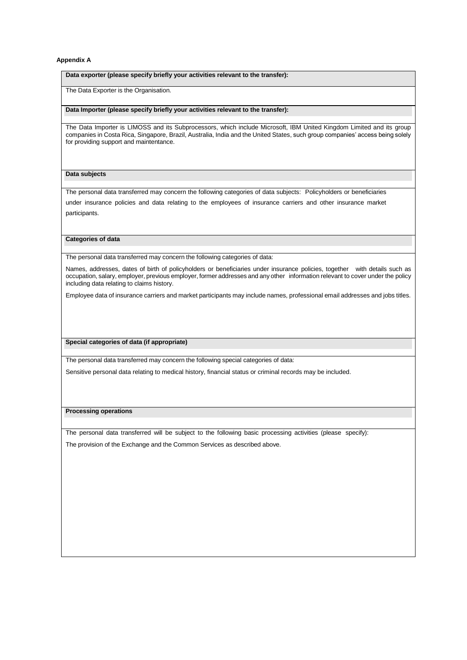#### **Appendix A**

#### **Data exporter (please specify briefly your activities relevant to the transfer):**

The Data Exporter is the Organisation.

#### **Data Importer (please specify briefly your activities relevant to the transfer):**

The Data Importer is LIMOSS and its Subprocessors, which include Microsoft, IBM United Kingdom Limited and its group companies in Costa Rica, Singapore, Brazil, Australia, India and the United States, such group companies' access being solely for providing support and maintentance.

#### **Data subjects**

The personal data transferred may concern the following categories of data subjects: Policyholders or beneficiaries

under insurance policies and data relating to the employees of insurance carriers and other insurance market participants.

#### **Categories of data**

The personal data transferred may concern the following categories of data:

Names, addresses, dates of birth of policyholders or beneficiaries under insurance policies, together with details such as occupation, salary, employer, previous employer, former addresses and any other information relevant to cover under the policy including data relating to claims history.

Employee data of insurance carriers and market participants may include names, professional email addresses and jobs titles.

#### **Special categories of data (if appropriate)**

The personal data transferred may concern the following special categories of data:

Sensitive personal data relating to medical history, financial status or criminal records may be included.

#### **Processing operations**

The personal data transferred will be subject to the following basic processing activities (please specify): The provision of the Exchange and the Common Services as described above.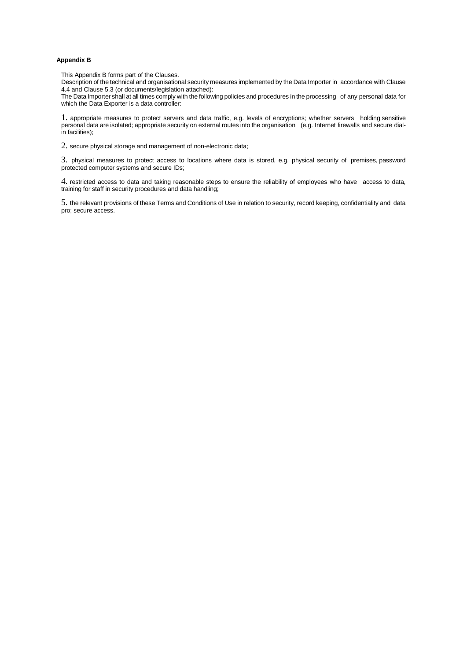## **Appendix B**

This Appendix B forms part of the Clauses.

Description of the technical and organisational security measures implemented by the Data Importer in accordance with Clause 4.4 and Clause 5.3 (or documents/legislation attached):

The Data Importer shall at all times comply with the following policies and procedures in the processing of any personal data for which the Data Exporter is a data controller:

1. appropriate measures to protect servers and data traffic, e.g. levels of encryptions; whether servers holding sensitive personal data are isolated; appropriate security on external routes into the organisation (e.g. Internet firewalls and secure dialin facilities);

2. secure physical storage and management of non-electronic data;

3. physical measures to protect access to locations where data is stored, e.g. physical security of premises, password protected computer systems and secure IDs;

4. restricted access to data and taking reasonable steps to ensure the reliability of employees who have access to data, training for staff in security procedures and data handling;

5. the relevant provisions of these Terms and Conditions of Use in relation to security, record keeping, confidentiality and data pro; secure access.